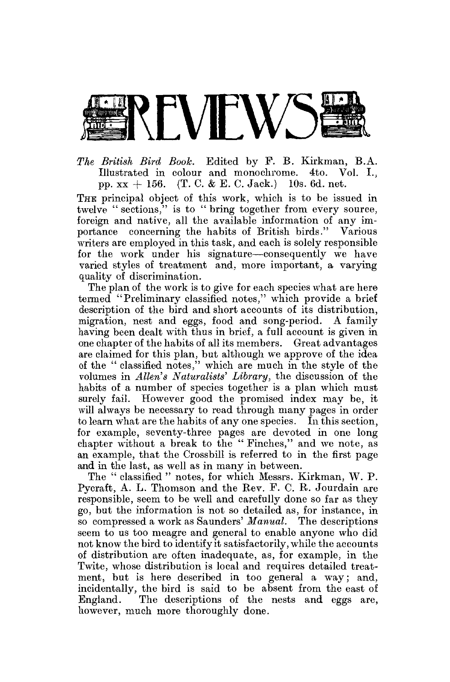

*The British Bird Book.* Edited by P. B. Kirkman, B.A. Illustrated in colour and monochrome. 4to. Vol. I.. pp.  $xx + 156$ . (T. C. & E. C. Jack.) 10s. 6d. net.

THE principal object of this work, which is to be issued in twelve " sections," is to " bring together from every source, foreign and native, all the available information of any importance concerning the habits of British birds." Various writers are employed in this task, and each is solely responsible for the work under his signature—consequently we have varied styles of treatment and, more important, a varying quality of discrimination.

The plan of the work is to give for each species what are here termed "Preliminary classified notes," which provide a brief description of the bird and short accounts of its distribution, migration, nest and eggs, food and song-period. A family having been dealt with thus in brief, a full account is given in one chapter of the habits of all its members. Great advantages are claimed for this plan, but although we approve of the idea of the " classified notes," which are much in the style of the volumes in *Allen's Naturalists' Library,* the discussion of the habits of a number of species together is a plan which must surely fail. However good the promised index may be, it will always be necessary to read through many pages in order to learn what are the habits of any one species. In this section, for example, seventy-three pages are devoted in one long chapter without a break to the " Pinches," and we note, as an example, that the Crossbill is referred to in the first page and in the last, as well as in many in between.

The " classified " notes, for which Messrs. Kirkman, W. P. Pycraft, A. L. Thomson and the Rev. P. C. R. Jourdain are responsible, seem to be well and carefully done so far as they go, but the information is not so detailed as, for instance, in so compressed a work as Saunders' *Manual.* The descriptions seem to us too meagre and general to enable anyone who did not know the bird to identify it satisfactorily, while the accounts of distribution are often inadequate, as, for example, in the Twite, whose distribution is local and requires detailed treatment, but is here described in too general a way; and, incidentally, the bird is said to be absent from the east of England. The descriptions of the nests and eggs are, however, much more thoroughly done.